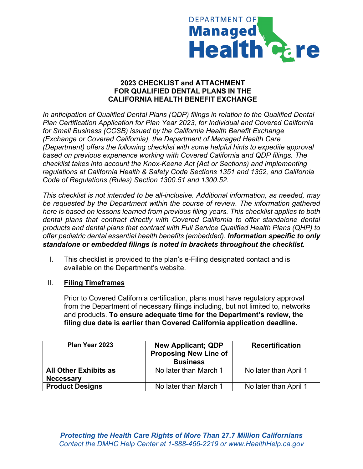

#### **2023 CHECKLIST and ATTACHMENT FOR QUALIFIED DENTAL PLANS IN THE CALIFORNIA HEALTH BENEFIT EXCHANGE**

*In anticipation of Qualified Dental Plans (QDP) filings in relation to the Qualified Dental Plan Certification Application for Plan Year 2023, for Individual and Covered California for Small Business (CCSB) issued by the California Health Benefit Exchange (Exchange or Covered California), the Department of Managed Health Care (Department) offers the following checklist with some helpful hints to expedite approval based on previous experience working with Covered California and QDP filings. The checklist takes into account the Knox-Keene Act (Act or Sections) and implementing regulations at California Health & Safety Code Sections 1351 and 1352, and California Code of Regulations (Rules) Section 1300.51 and 1300.52.*

*This checklist is not intended to be all-inclusive. Additional information, as needed, may be requested by the Department within the course of review. The information gathered here is based on lessons learned from previous filing years. This checklist applies to both dental plans that contract directly with Covered California to offer standalone dental products and dental plans that contract with Full Service Qualified Health Plans (QHP) to offer pediatric dental essential health benefits (embedded). Information specific to only standalone or embedded filings is noted in brackets throughout the checklist.*

I. This checklist is provided to the plan's e-Filing designated contact and is available on the Department's website.

#### II. **Filing Timeframes**

Prior to Covered California certification, plans must have regulatory approval from the Department of necessary filings including, but not limited to, networks and products. **To ensure adequate time for the Department's review, the filing due date is earlier than Covered California application deadline.**

| Plan Year 2023               | <b>New Applicant; QDP</b><br><b>Proposing New Line of</b><br><b>Business</b> | <b>Recertification</b> |
|------------------------------|------------------------------------------------------------------------------|------------------------|
| <b>All Other Exhibits as</b> | No later than March 1                                                        | No later than April 1  |
| <b>Necessary</b>             |                                                                              |                        |
| <b>Product Designs</b>       | No later than March 1                                                        | No later than April 1  |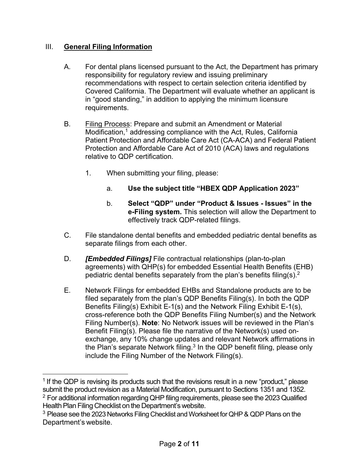### III. **General Filing Information**

- A. For dental plans licensed pursuant to the Act, the Department has primary responsibility for regulatory review and issuing preliminary recommendations with respect to certain selection criteria identified by Covered California. The Department will evaluate whether an applicant is in "good standing," in addition to applying the minimum licensure requirements.
- B. Filing Process: Prepare and submit an Amendment or Material  $M$ odification, $1$  addressing compliance with the Act, Rules, California Patient Protection and Affordable Care Act (CA-ACA) and Federal Patient Protection and Affordable Care Act of 2010 (ACA) laws and regulations relative to QDP certification.
	- 1. When submitting your filing, please:
		- a. **Use the subject title "HBEX QDP Application 2023"**
		- b. **Select "QDP" under "Product & Issues Issues" in the e-Filing system.** This selection will allow the Department to effectively track QDP-related filings.
- C. File standalone dental benefits and embedded pediatric dental benefits as separate filings from each other.
- D. *[Embedded Filings]* File contractual relationships (plan-to-plan agreements) with QHP(s) for embedded Essential Health Benefits (EHB) pediatric dental benefits separately from the plan's benefits filing(s).<sup>2</sup>
- E. Network Filings for embedded EHBs and Standalone products are to be filed separately from the plan's QDP Benefits Filing(s). In both the QDP Benefits Filing(s) Exhibit E-1(s) and the Network Filing Exhibit E-1(s), cross-reference both the QDP Benefits Filing Number(s) and the Network Filing Number(s). **Note**: No Network issues will be reviewed in the Plan's Benefit Filing(s). Please file the narrative of the Network(s) used onexchange, any 10% change updates and relevant Network affirmations in the Plan's separate Network filing. $^3$  In the QDP benefit filing, please only include the Filing Number of the Network Filing(s).

 $1$  If the QDP is revising its products such that the revisions result in a new "product," please submit the product revision as a Material Modification, pursuant to Sections 1351 and 1352. <sup>2</sup> For additional information regarding QHP filing requirements, please see the 2023 Qualified Health Plan Filing Checklist on the Department's website.

<sup>&</sup>lt;sup>3</sup> Please see the 2023 Networks Filing Checklist and Worksheet for QHP & QDP Plans on the Department's website.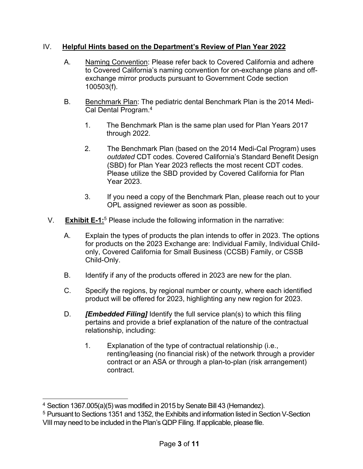### IV. **Helpful Hints based on the Department's Review of Plan Year 2022**

- A. Naming Convention: Please refer back to Covered California and adhere to Covered California's naming convention for on-exchange plans and offexchange mirror products pursuant to Government Code section 100503(f).
- B. Benchmark Plan: The pediatric dental Benchmark Plan is the 2014 Medi-Cal Dental Program.4
	- 1. The Benchmark Plan is the same plan used for Plan Years 2017 through 2022.
	- 2. The Benchmark Plan (based on the 2014 Medi-Cal Program) uses *outdated* CDT codes. Covered California's Standard Benefit Design (SBD) for Plan Year 2023 reflects the most recent CDT codes. Please utilize the SBD provided by Covered California for Plan Year 2023.
	- 3. If you need a copy of the Benchmark Plan, please reach out to your OPL assigned reviewer as soon as possible.
- V. **Exhibit E-1:**<sup>5</sup> Please include the following information in the narrative:
	- A. Explain the types of products the plan intends to offer in 2023. The options for products on the 2023 Exchange are: Individual Family, Individual Childonly, Covered California for Small Business (CCSB) Family, or CSSB Child-Only.
	- B. Identify if any of the products offered in 2023 are new for the plan.
	- C. Specify the regions, by regional number or county, where each identified product will be offered for 2023, highlighting any new region for 2023.
	- D. *[Embedded Filing]* Identify the full service plan(s) to which this filing pertains and provide a brief explanation of the nature of the contractual relationship, including:
		- 1. Explanation of the type of contractual relationship (i.e., renting/leasing (no financial risk) of the network through a provider contract or an ASA or through a plan-to-plan (risk arrangement) contract.

<sup>&</sup>lt;sup>4</sup> Section 1367.005(a)(5) was modified in 2015 by Senate Bill 43 (Hernandez).

<sup>5</sup> Pursuant to Sections 1351 and 1352, the Exhibits and information listed in Section V-Section VIII may need to be included in the Plan's QDP Filing. If applicable, please file.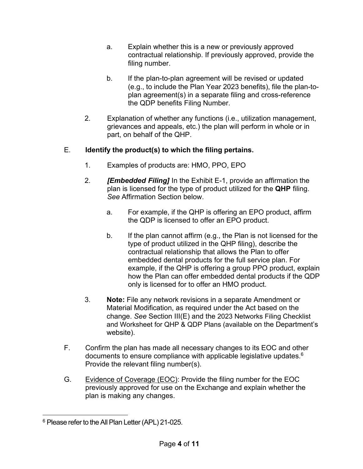- a. Explain whether this is a new or previously approved contractual relationship. If previously approved, provide the filing number.
- b. If the plan-to-plan agreement will be revised or updated (e.g., to include the Plan Year 2023 benefits), file the plan-toplan agreement(s) in a separate filing and cross-reference the QDP benefits Filing Number.
- 2. Explanation of whether any functions (i.e., utilization management, grievances and appeals, etc.) the plan will perform in whole or in part, on behalf of the QHP.

# E. **Identify the product(s) to which the filing pertains.**

- 1. Examples of products are: HMO, PPO, EPO
- 2. *[Embedded Filing]* In the Exhibit E-1, provide an affirmation the plan is licensed for the type of product utilized for the **QHP** filing. *See* Affirmation Section below.
	- a. For example, if the QHP is offering an EPO product, affirm the QDP is licensed to offer an EPO product.
	- b. If the plan cannot affirm (e.g., the Plan is not licensed for the type of product utilized in the QHP filing), describe the contractual relationship that allows the Plan to offer embedded dental products for the full service plan. For example, if the QHP is offering a group PPO product, explain how the Plan can offer embedded dental products if the QDP only is licensed for to offer an HMO product.
- 3. **Note:** File any network revisions in a separate Amendment or Material Modification, as required under the Act based on the change. *See* Section III(E) and the 2023 Networks Filing Checklist and Worksheet for QHP & QDP Plans (available on the Department's website).
- F. Confirm the plan has made all necessary changes to its EOC and other documents to ensure compliance with applicable legislative updates.6 Provide the relevant filing number(s).
- G. Evidence of Coverage (EOC): Provide the filing number for the EOC previously approved for use on the Exchange and explain whether the plan is making any changes.

<sup>&</sup>lt;sup>6</sup> Please refer to the All Plan Letter (APL) 21-025.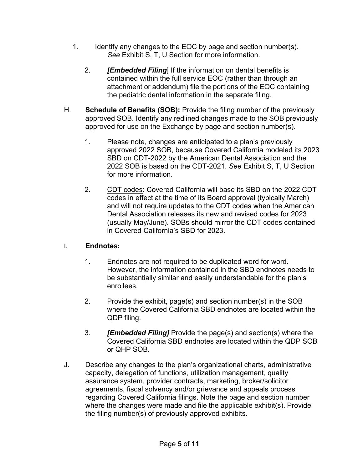- 1. Identify any changes to the EOC by page and section number(s). *See* Exhibit S, T, U Section for more information.
	- 2. *[Embedded Filing*] If the information on dental benefits is contained within the full service EOC (rather than through an attachment or addendum) file the portions of the EOC containing the pediatric dental information in the separate filing.
- H. **Schedule of Benefits (SOB):** Provide the filing number of the previously approved SOB. Identify any redlined changes made to the SOB previously approved for use on the Exchange by page and section number(s).
	- 1. Please note, changes are anticipated to a plan's previously approved 2022 SOB, because Covered California modeled its 2023 SBD on CDT-2022 by the American Dental Association and the 2022 SOB is based on the CDT-2021. *See* Exhibit S, T, U Section for more information.
	- 2. CDT codes: Covered California will base its SBD on the 2022 CDT codes in effect at the time of its Board approval (typically March) and will not require updates to the CDT codes when the American Dental Association releases its new and revised codes for 2023 (usually May/June). SOBs should mirror the CDT codes contained in Covered California's SBD for 2023.

### I. **Endnotes:**

- 1. Endnotes are not required to be duplicated word for word. However, the information contained in the SBD endnotes needs to be substantially similar and easily understandable for the plan's enrollees.
- 2. Provide the exhibit, page(s) and section number(s) in the SOB where the Covered California SBD endnotes are located within the QDP filing.
- 3. *[Embedded Filing]* Provide the page(s) and section(s) where the Covered California SBD endnotes are located within the QDP SOB or QHP SOB.
- J. Describe any changes to the plan's organizational charts, administrative capacity, delegation of functions, utilization management, quality assurance system, provider contracts, marketing, broker/solicitor agreements, fiscal solvency and/or grievance and appeals process regarding Covered California filings. Note the page and section number where the changes were made and file the applicable exhibit(s). Provide the filing number(s) of previously approved exhibits.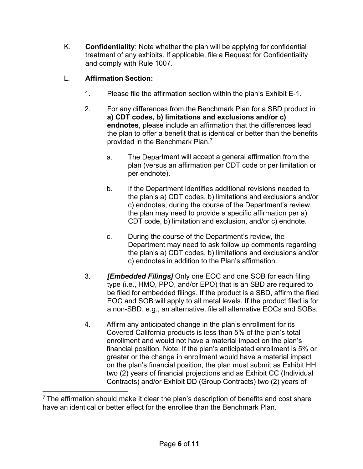K. **Confidentiality**: Note whether the plan will be applying for confidential treatment of any exhibits. If applicable, file a Request for Confidentiality and comply with Rule 1007.

# L. **Affirmation Section:**

- 1. Please file the affirmation section within the plan's Exhibit E-1.
- 2. For any differences from the Benchmark Plan for a SBD product in **a) CDT codes, b) limitations and exclusions and/or c) endnotes**, please include an affirmation that the differences lead the plan to offer a benefit that is identical or better than the benefits provided in the Benchmark Plan.7
	- a. The Department will accept a general affirmation from the plan (versus an affirmation per CDT code or per limitation or per endnote).
	- b. If the Department identifies additional revisions needed to the plan's a) CDT codes, b) limitations and exclusions and/or c) endnotes, during the course of the Department's review, the plan may need to provide a specific affirmation per a) CDT code, b) limitation and exclusion, and/or c) endnote.
	- c. During the course of the Department's review, the Department may need to ask follow up comments regarding the plan's a) CDT codes, b) limitations and exclusions and/or c) endnotes in addition to the Plan's affirmation.
- 3. *[Embedded Filings]* Only one EOC and one SOB for each filing type (i.e., HMO, PPO, and/or EPO) that is an SBD are required to be filed for embedded filings. If the product is a SBD, affirm the filed EOC and SOB will apply to all metal levels. If the product filed is for a non-SBD, e.g., an alternative, file all alternative EOCs and SOBs.
- 4. Affirm any anticipated change in the plan's enrollment for its Covered California products is less than 5% of the plan's total enrollment and would not have a material impact on the plan's financial position. Note: If the plan's anticipated enrollment is 5% or greater or the change in enrollment would have a material impact on the plan's financial position, the plan must submit as Exhibit HH two (2) years of financial projections and as Exhibit CC (Individual Contracts) and/or Exhibit DD (Group Contracts) two (2) years of

 $7$  The affirmation should make it clear the plan's description of benefits and cost share have an identical or better effect for the enrollee than the Benchmark Plan.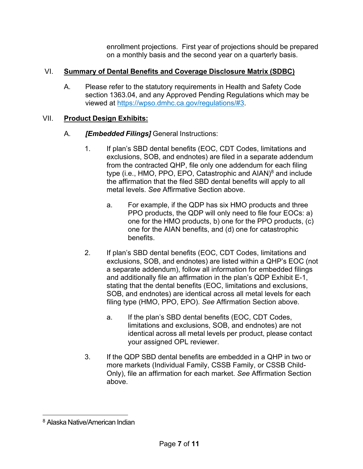enrollment projections. First year of projections should be prepared on a monthly basis and the second year on a quarterly basis.

# VI. **Summary of Dental Benefits and Coverage Disclosure Matrix (SDBC)**

A. Please refer to the statutory requirements in Health and Safety Code section 1363.04, and any Approved Pending Regulations which may be viewed at [https://wpso.dmhc.ca.gov/regulations/#3.](https://wpso.dmhc.ca.gov/regulations/#3)

### VII. **Product Design Exhibits:**

- A. *[Embedded Filings]* General Instructions:
	- 1. If plan's SBD dental benefits (EOC, CDT Codes, limitations and exclusions, SOB, and endnotes) are filed in a separate addendum from the contracted QHP, file only one addendum for each filing type (i.e., HMO, PPO, EPO, Catastrophic and AIAN)<sup>8</sup> and include the affirmation that the filed SBD dental benefits will apply to all metal levels. *See* Affirmative Section above.
		- a. For example, if the QDP has six HMO products and three PPO products, the QDP will only need to file four EOCs: a) one for the HMO products, b) one for the PPO products, (c) one for the AIAN benefits, and (d) one for catastrophic benefits.
	- 2. If plan's SBD dental benefits (EOC, CDT Codes, limitations and exclusions, SOB, and endnotes) are listed within a QHP's EOC (not a separate addendum), follow all information for embedded filings and additionally file an affirmation in the plan's QDP Exhibit E-1, stating that the dental benefits (EOC, limitations and exclusions, SOB, and endnotes) are identical across all metal levels for each filing type (HMO, PPO, EPO). *See* Affirmation Section above.
		- a. If the plan's SBD dental benefits (EOC, CDT Codes, limitations and exclusions, SOB, and endnotes) are not identical across all metal levels per product, please contact your assigned OPL reviewer.
	- 3. If the QDP SBD dental benefits are embedded in a QHP in two or more markets (Individual Family, CSSB Family, or CSSB Child-Only), file an affirmation for each market. *See* Affirmation Section above.

<sup>8</sup> Alaska Native/American Indian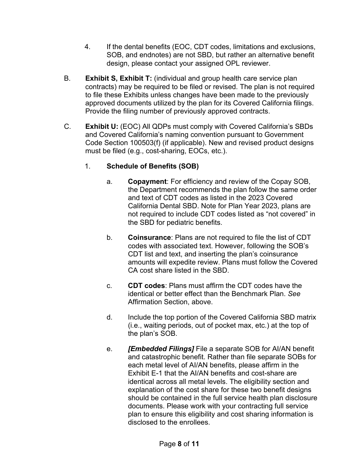- 4. If the dental benefits (EOC, CDT codes, limitations and exclusions, SOB, and endnotes) are not SBD, but rather an alternative benefit design, please contact your assigned OPL reviewer.
- B. **Exhibit S, Exhibit T:** (individual and group health care service plan contracts) may be required to be filed or revised. The plan is not required to file these Exhibits unless changes have been made to the previously approved documents utilized by the plan for its Covered California filings. Provide the filing number of previously approved contracts.
- C. **Exhibit U:** (EOC) All QDPs must comply with Covered California's SBDs and Covered California's naming convention pursuant to Government Code Section 100503(f) (if applicable). New and revised product designs must be filed (e.g., cost-sharing, EOCs, etc.).
	- 1. **Schedule of Benefits (SOB)**
		- a. **Copayment**: For efficiency and review of the Copay SOB, the Department recommends the plan follow the same order and text of CDT codes as listed in the 2023 Covered California Dental SBD. Note for Plan Year 2023, plans are not required to include CDT codes listed as "not covered" in the SBD for pediatric benefits.
		- b. **Coinsurance**: Plans are not required to file the list of CDT codes with associated text. However, following the SOB's CDT list and text, and inserting the plan's coinsurance amounts will expedite review. Plans must follow the Covered CA cost share listed in the SBD.
		- c. **CDT codes**: Plans must affirm the CDT codes have the identical or better effect than the Benchmark Plan. *See* Affirmation Section, above.
		- d. Include the top portion of the Covered California SBD matrix (i.e., waiting periods, out of pocket max, etc.) at the top of the plan's SOB.
		- e. *[Embedded Filings]* File a separate SOB for AI/AN benefit and catastrophic benefit. Rather than file separate SOBs for each metal level of AI/AN benefits, please affirm in the Exhibit E-1 that the AI/AN benefits and cost-share are identical across all metal levels. The eligibility section and explanation of the cost share for these two benefit designs should be contained in the full service health plan disclosure documents. Please work with your contracting full service plan to ensure this eligibility and cost sharing information is disclosed to the enrollees.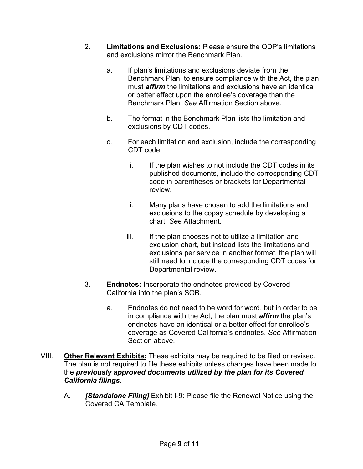- 2. **Limitations and Exclusions:** Please ensure the QDP's limitations and exclusions mirror the Benchmark Plan.
	- a. If plan's limitations and exclusions deviate from the Benchmark Plan, to ensure compliance with the Act, the plan must *affirm* the limitations and exclusions have an identical or better effect upon the enrollee's coverage than the Benchmark Plan. *See* Affirmation Section above.
	- b. The format in the Benchmark Plan lists the limitation and exclusions by CDT codes.
	- c. For each limitation and exclusion, include the corresponding CDT code.
		- i. If the plan wishes to not include the CDT codes in its published documents, include the corresponding CDT code in parentheses or brackets for Departmental review.
		- ii. Many plans have chosen to add the limitations and exclusions to the copay schedule by developing a chart. *See* Attachment.
		- iii. If the plan chooses not to utilize a limitation and exclusion chart, but instead lists the limitations and exclusions per service in another format, the plan will still need to include the corresponding CDT codes for Departmental review.
- 3. **Endnotes:** Incorporate the endnotes provided by Covered California into the plan's SOB.
	- a. Endnotes do not need to be word for word, but in order to be in compliance with the Act, the plan must *affirm* the plan's endnotes have an identical or a better effect for enrollee's coverage as Covered California's endnotes. *See* Affirmation Section above.
- VIII. **Other Relevant Exhibits:** These exhibits may be required to be filed or revised. The plan is not required to file these exhibits unless changes have been made to the *previously approved documents utilized by the plan for its Covered California filings*.
	- A. *[Standalone Filing]* Exhibit I-9: Please file the Renewal Notice using the Covered CA Template.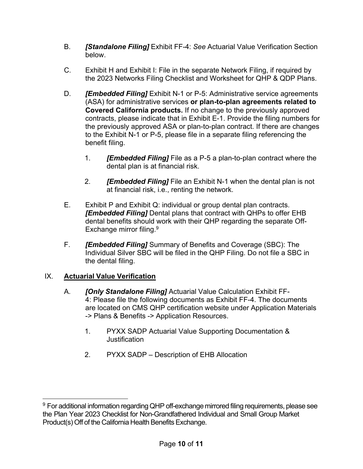- B. *[Standalone Filing]* Exhibit FF-4: *See* Actuarial Value Verification Section below.
- C. Exhibit H and Exhibit I: File in the separate Network Filing, if required by the 2023 Networks Filing Checklist and Worksheet for QHP & QDP Plans.
- D. *[Embedded Filing]* Exhibit N-1 or P-5: Administrative service agreements (ASA) for administrative services **or plan-to-plan agreements related to Covered California products.** If no change to the previously approved contracts, please indicate that in Exhibit E-1. Provide the filing numbers for the previously approved ASA or plan-to-plan contract. If there are changes to the Exhibit N-1 or P-5, please file in a separate filing referencing the benefit filing.
	- 1. *[Embedded Filing]* File as a P-5 a plan-to-plan contract where the dental plan is at financial risk.
	- 2. *[Embedded Filing]* File an Exhibit N-1 when the dental plan is not at financial risk, i.e., renting the network.
- E. Exhibit P and Exhibit Q: individual or group dental plan contracts. *[Embedded Filing]* Dental plans that contract with QHPs to offer EHB dental benefits should work with their QHP regarding the separate Off-Exchange mirror filing.<sup>9</sup>
- F. *[Embedded Filing]* Summary of Benefits and Coverage (SBC): The Individual Silver SBC will be filed in the QHP Filing. Do not file a SBC in the dental filing.

# IX. **Actuarial Value Verification**

- A. *[Only Standalone Filing]* Actuarial Value Calculation Exhibit FF-4: Please file the following documents as Exhibit FF-4. The documents are located on CMS QHP certification website under Application Materials -> Plans & Benefits -> Application Resources.
	- 1. PYXX SADP Actuarial Value Supporting Documentation & Justification
	- 2. PYXX SADP Description of EHB Allocation

<sup>&</sup>lt;sup>9</sup> For additional information regarding QHP off-exchange mirrored filing requirements, please see the Plan Year 2023 Checklist for Non-Grandfathered Individual and Small Group Market Product(s) Off of the California Health Benefits Exchange.